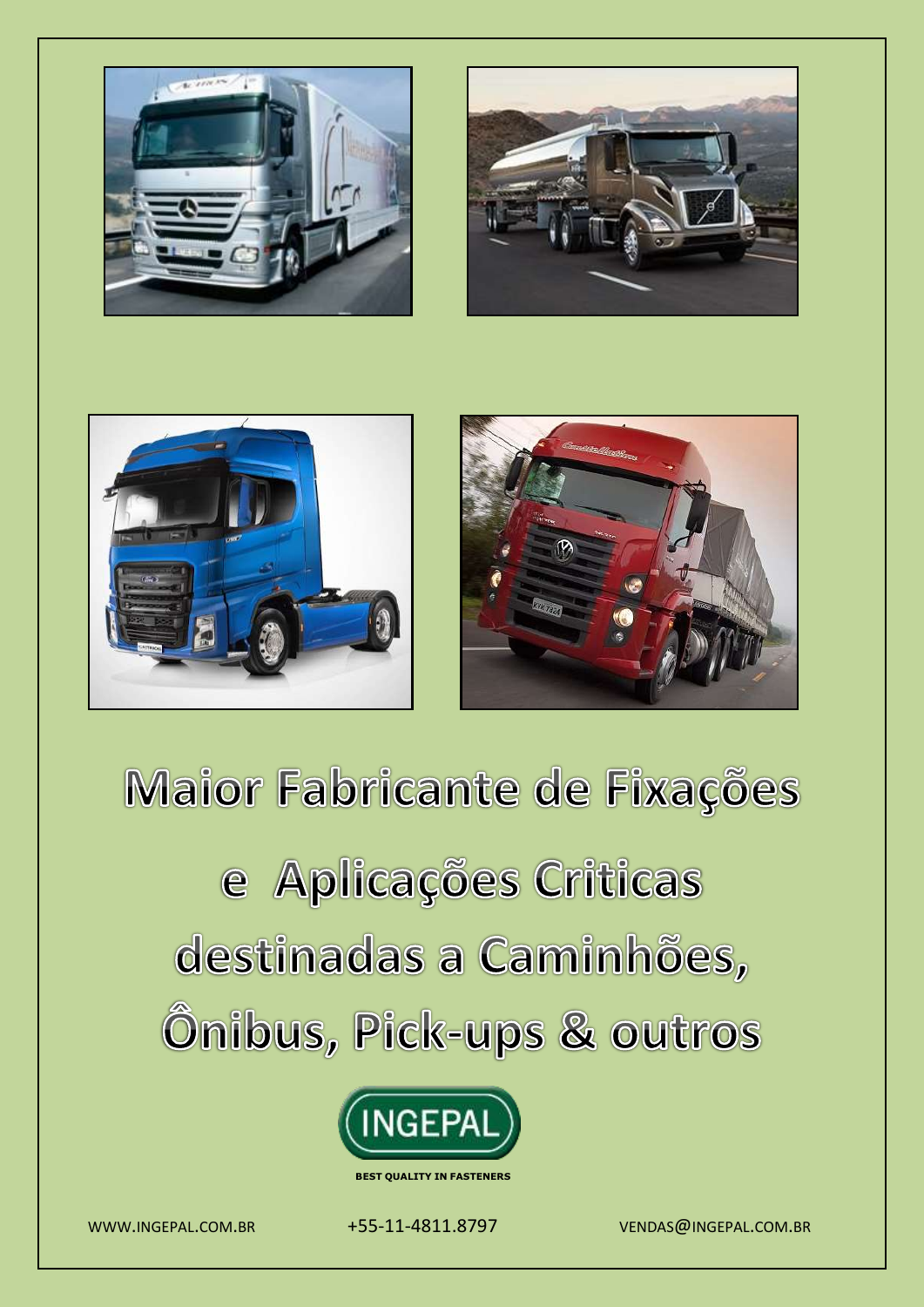







Maior Fabricante de Fixações e Aplicações Criticas destinadas a Caminhões, Önibus, Pick-ups & outros



WWW.[INGEPAL](http://www.ingepal.com.br/).COM.BR +55-11-4811.8797 [VENDAS](mailto:vendas@ingepal.com.br)@INGEPAL.COM.BR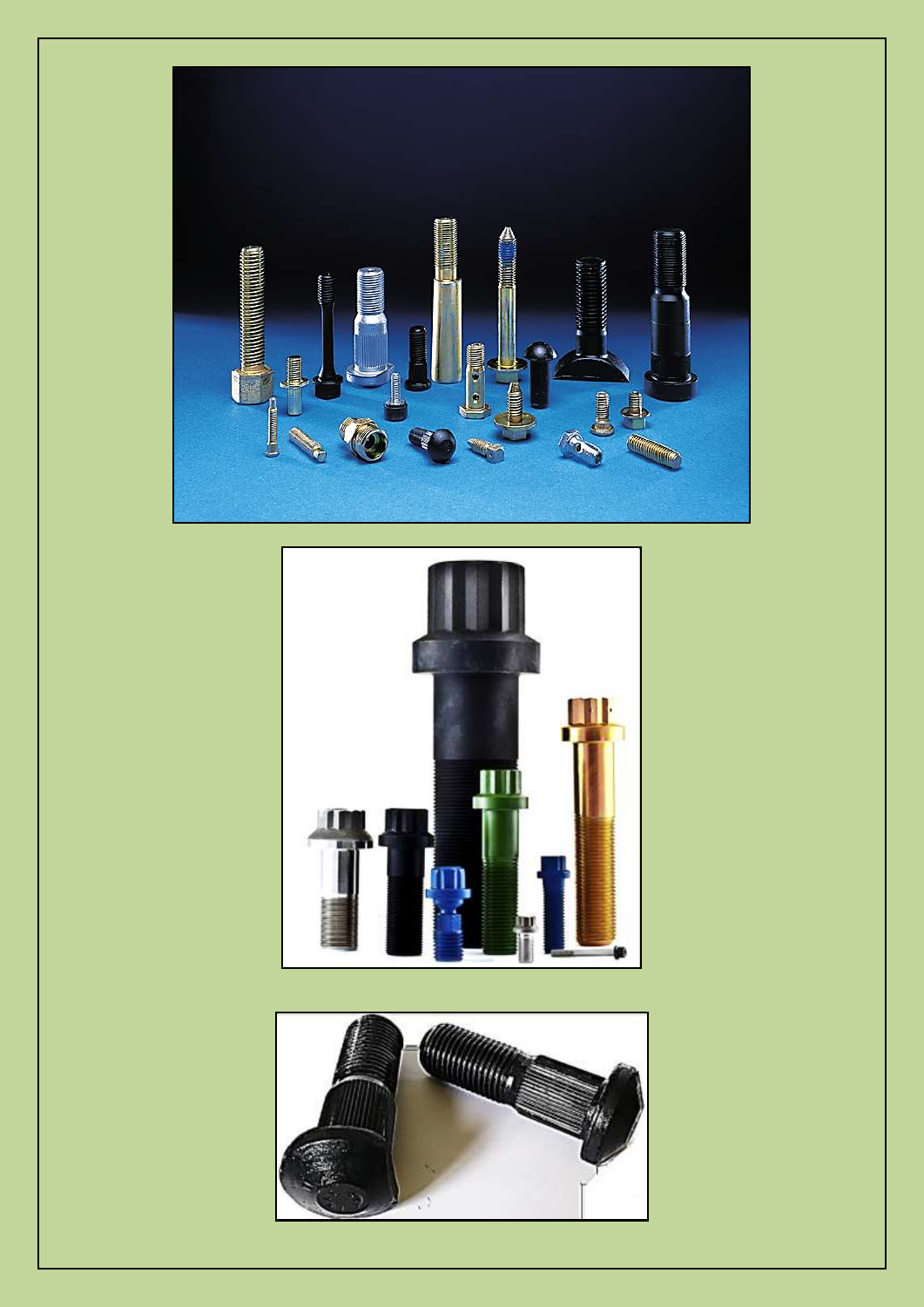



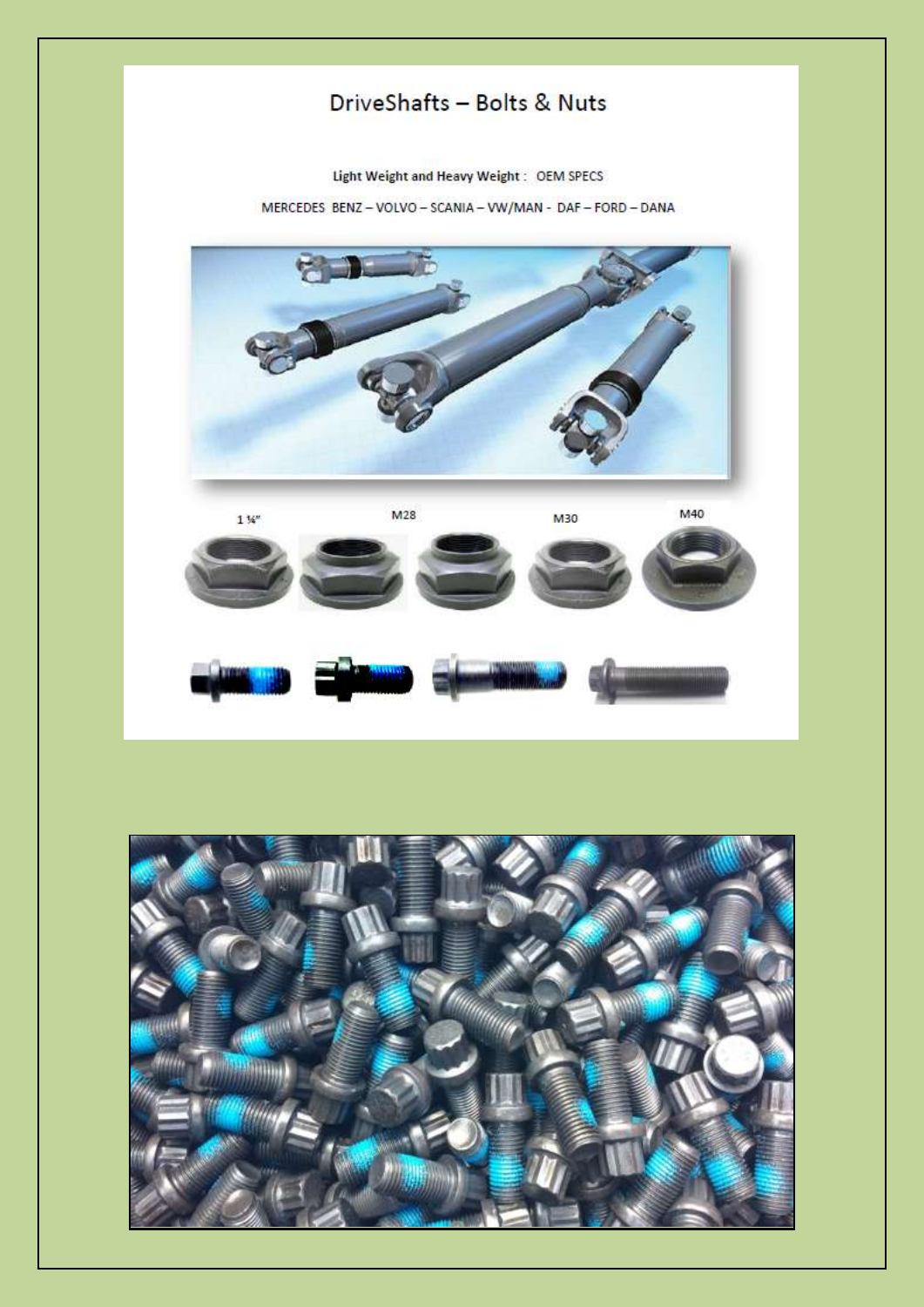## DriveShafts - Bolts & Nuts

Light Weight and Heavy Weight: OEM SPECS

MERCEDES BENZ-VOLVO-SCANIA-VW/MAN - DAF-FORD-DANA





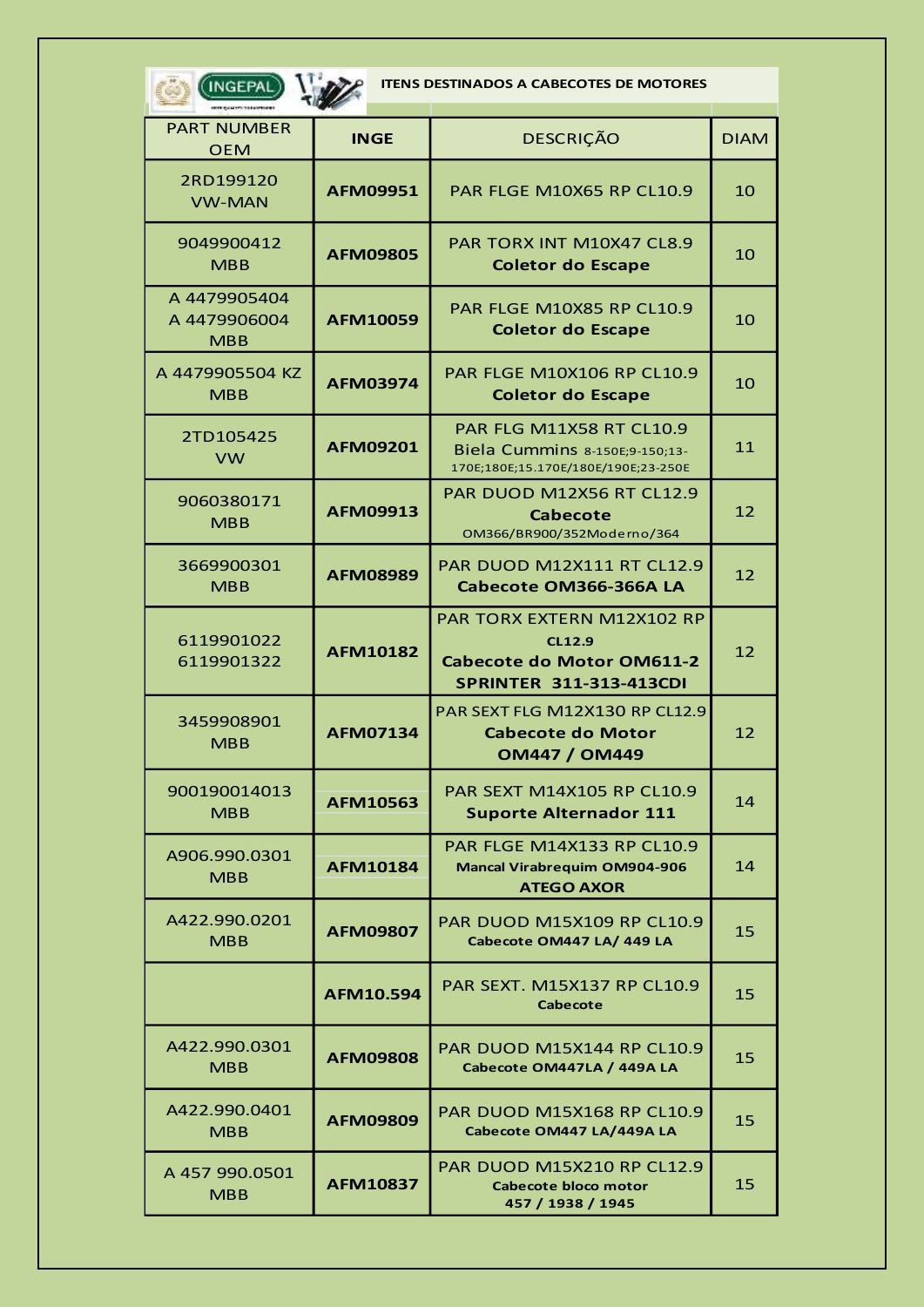| <b>INGEPAI</b><br><b>ITENS DESTINADOS A CABECOTES DE MOTORES</b> |                 |                                                                                                                   |             |  |
|------------------------------------------------------------------|-----------------|-------------------------------------------------------------------------------------------------------------------|-------------|--|
| <b>PART NUMBER</b><br><b>OEM</b>                                 | <b>INGE</b>     | <b>DESCRIÇÃO</b>                                                                                                  | <b>DIAM</b> |  |
| 2RD199120<br><b>VW-MAN</b>                                       | <b>AFM09951</b> | PAR FLGE M10X65 RP CL10.9                                                                                         | 10          |  |
| 9049900412<br><b>MBB</b>                                         | <b>AFM09805</b> | PAR TORX INT M10X47 CL8.9<br><b>Coletor do Escape</b>                                                             | 10          |  |
| A4479905404<br>A4479906004<br><b>MBB</b>                         | <b>AFM10059</b> | PAR FLGE M10X85 RP CL10.9<br><b>Coletor do Escape</b>                                                             | 10          |  |
| A 4479905504 KZ<br><b>MBB</b>                                    | <b>AFM03974</b> | <b>PAR FLGE M10X106 RP CL10.9</b><br><b>Coletor do Escape</b>                                                     | 10          |  |
| 2TD105425<br><b>VW</b>                                           | AFM09201        | <b>PAR FLG M11X58 RT CL10.9</b><br>Biela Cummins 8-150E;9-150;13-<br>170E;180E;15.170E/180E/190E;23-250E          | 11          |  |
| 9060380171<br><b>MBB</b>                                         | <b>AFM09913</b> | <b>PAR DUOD M12X56 RT CL12.9</b><br><b>Cabecote</b><br>OM366/BR900/352Moderno/364                                 | 12          |  |
| 3669900301<br><b>MBB</b>                                         | <b>AFM08989</b> | PAR DUOD M12X111 RT CL12.9<br>Cabecote OM366-366A LA                                                              | 12          |  |
| 6119901022<br>6119901322                                         | AFM10182        | PAR TORX EXTERN M12X102 RP<br><b>CL12.9</b><br><b>Cabecote do Motor OM611-2</b><br><b>SPRINTER 311-313-413CDI</b> | 12          |  |
| 3459908901<br><b>MBB</b>                                         | <b>AFM07134</b> | PAR SEXT FLG M12X130 RP CL12.9<br><b>Cabecote do Motor</b><br>OM447 / OM449                                       | 12          |  |
| 900190014013<br><b>MBB</b>                                       | <b>AFM10563</b> | PAR SEXT M14X105 RP CL10.9<br><b>Suporte Alternador 111</b>                                                       | 14          |  |
| A906.990.0301<br><b>MBB</b>                                      | AFM10184        | <b>PAR FLGE M14X133 RP CL10.9</b><br><b>Mancal Virabrequim OM904-906</b><br><b>ATEGO AXOR</b>                     | 14          |  |
| A422.990.0201<br><b>MBB</b>                                      | <b>AFM09807</b> | <b>PAR DUOD M15X109 RP CL10.9</b><br>Cabecote OM447 LA/449 LA                                                     | 15          |  |
|                                                                  | AFM10.594       | PAR SEXT. M15X137 RP CL10.9<br><b>Cabecote</b>                                                                    | 15          |  |
| A422.990.0301<br><b>MBB</b>                                      | <b>AFM09808</b> | <b>PAR DUOD M15X144 RP CL10.9</b><br>Cabecote OM447LA / 449A LA                                                   | 15          |  |
| A422.990.0401<br><b>MBB</b>                                      | <b>AFM09809</b> | PAR DUOD M15X168 RP CL10.9<br>Cabecote OM447 LA/449A LA                                                           | 15          |  |
| A 457 990.0501<br><b>MBB</b>                                     | <b>AFM10837</b> | <b>PAR DUOD M15X210 RP CL12.9</b><br><b>Cabecote bloco motor</b><br>457 / 1938 / 1945                             | 15          |  |